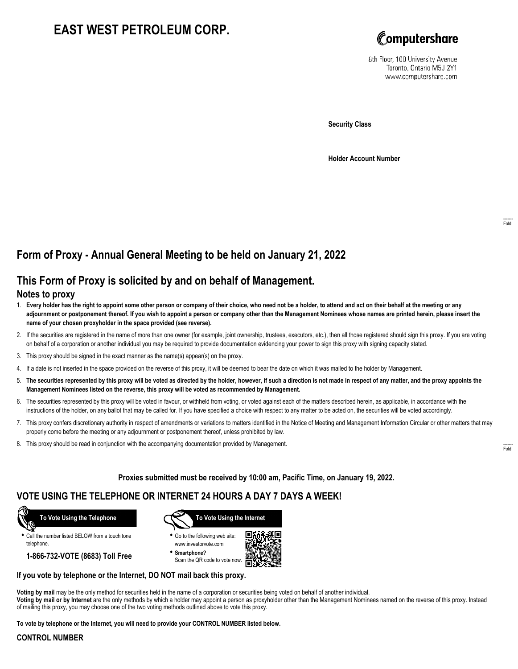## **EAST WEST PETROLEUM CORP.**



8th Floor, 100 University Avenue Toronto, Ontario M5J 2Y1 www.computershare.com

**Security Class**

**Holder Account Number**

## **Form of Proxy - Annual General Meeting to be held on January 21, 2022**

### **This Form of Proxy is solicited by and on behalf of Management.**

### **Notes to proxy**

- 1. **Every holder has the right to appoint some other person or company of their choice, who need not be a holder, to attend and act on their behalf at the meeting or any adjournment or postponement thereof. If you wish to appoint a person or company other than the Management Nominees whose names are printed herein, please insert the name of your chosen proxyholder in the space provided (see reverse).**
- 2. If the securities are registered in the name of more than one owner (for example, joint ownership, trustees, executors, etc.), then all those registered should sign this proxy. If you are voting on behalf of a corporation or another individual you may be required to provide documentation evidencing your power to sign this proxy with signing capacity stated.
- 3. This proxy should be signed in the exact manner as the name(s) appear(s) on the proxy.
- 4. If a date is not inserted in the space provided on the reverse of this proxy, it will be deemed to bear the date on which it was mailed to the holder by Management.
- 5. **The securities represented by this proxy will be voted as directed by the holder, however, if such a direction is not made in respect of any matter, and the proxy appoints the Management Nominees listed on the reverse, this proxy will be voted as recommended by Management.**
- 6. The securities represented by this proxy will be voted in favour, or withheld from voting, or voted against each of the matters described herein, as applicable, in accordance with the instructions of the holder, on any ballot that may be called for. If you have specified a choice with respect to any matter to be acted on, the securities will be voted accordingly.
- 7. This proxy confers discretionary authority in respect of amendments or variations to matters identified in the Notice of Meeting and Management Information Circular or other matters that may properly come before the meeting or any adjournment or postponement thereof, unless prohibited by law.
- 8. This proxy should be read in conjunction with the accompanying documentation provided by Management.

**Proxies submitted must be received by 10:00 am, Pacific Time, on January 19, 2022.**

### **VOTE USING THE TELEPHONE OR INTERNET 24 HOURS A DAY 7 DAYS A WEEK!**



**•** Call the number listed BELOW from a touch tone telephone.

**1-866-732-VOTE (8683) Toll Free**



**•** Go to the following web site: www.investorvote.com

**• Smartphone?** Scan the QR code to vote now.



### **If you vote by telephone or the Internet, DO NOT mail back this proxy.**

**Voting by mail** may be the only method for securities held in the name of a corporation or securities being voted on behalf of another individual. **Voting by mail or by Internet** are the only methods by which a holder may appoint a person as proxyholder other than the Management Nominees named on the reverse of this proxy. Instead of mailing this proxy, you may choose one of the two voting methods outlined above to vote this proxy.

**To vote by telephone or the Internet, you will need to provide your CONTROL NUMBER listed below.**

#### **CONTROL NUMBER**